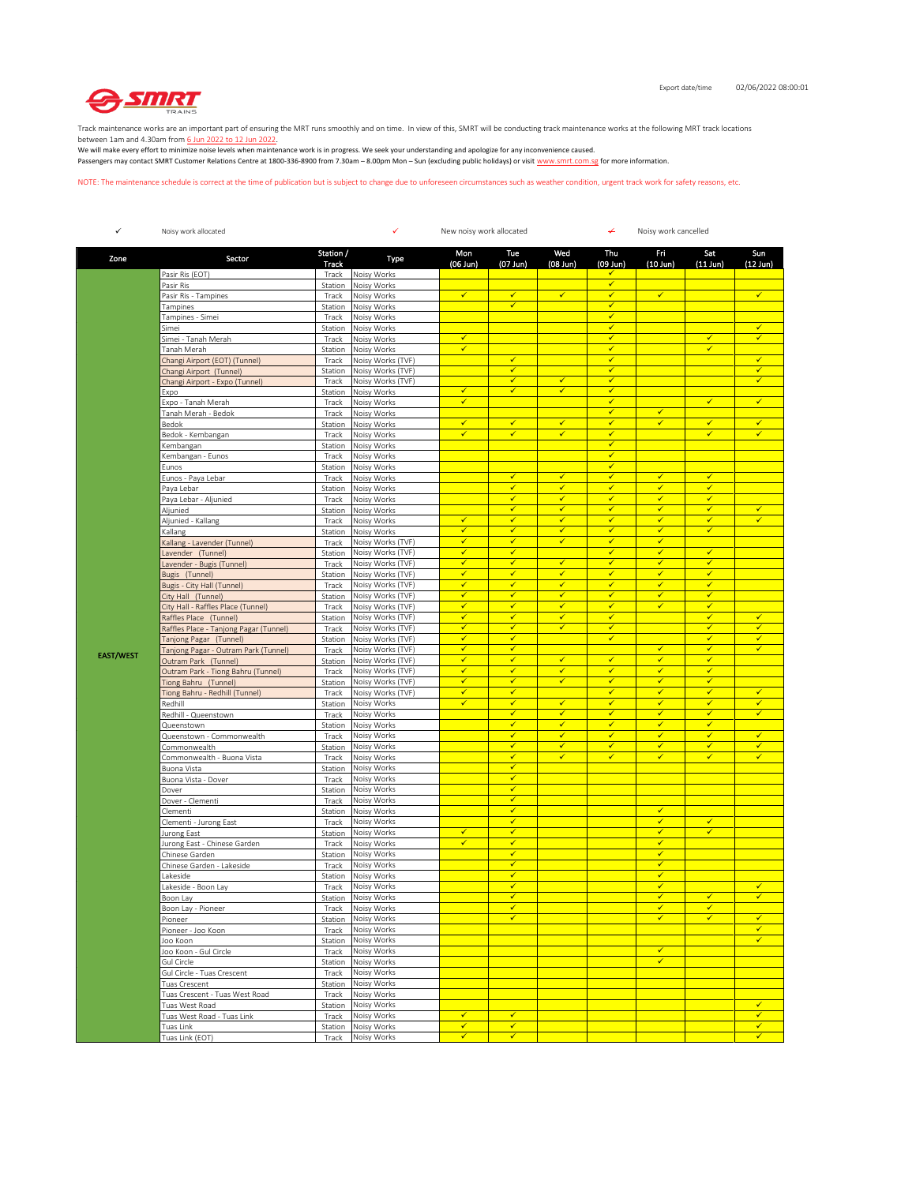

Track maintenance works are an important part of ensuring the MRT runs smoothly and on time. In view of this, SMRT will be conducting track maintenance works at the following MRT track locations

between 1am and 4.30am from <u>6 Jun 2022 to 12 Jun 2022</u>.<br>We will make every effort to minimize noise levels when maintenance work is in progress. We seek your understanding and apologize for any inconvenience caused. Passengers may contact SMRT Customer Relations Centre at 1800-336-8900 from 7.30am – 8.00pm Mon – Sun (excluding public holidays) or visit www.smrt.com.sg for more information.

NOTE: The maintenance schedule is correct at the time of publication but is subject to change due to unforeseen circumstances such as weather condition, urgent track work for safety reasons, etc.

| $\checkmark$     | Noisy work allocated                                       |                    | ✓<br>New noisy work allocated<br>¥<br>Noisy work cancelled |                              |                              |                                         |                              |                         |                              |                              |
|------------------|------------------------------------------------------------|--------------------|------------------------------------------------------------|------------------------------|------------------------------|-----------------------------------------|------------------------------|-------------------------|------------------------------|------------------------------|
| Zone             | Sector                                                     | Station /<br>Track | Type                                                       | Mon<br>$(06$ Jun)            | Tue<br>$(07$ Jun)            | Wed<br>$(08$ Jun)                       | Thu<br>(09 Jun)              | Fri<br>$(10$ Jun)       | Sat<br>$(11$ Jun)            | Sun<br>$(12 \text{ Jun})$    |
|                  | Pasir Ris (EOT)                                            | Track              | Noisy Works                                                |                              |                              |                                         | ✔                            |                         |                              |                              |
|                  | Pasir Ris                                                  | Station            | Noisy Works                                                |                              |                              |                                         | $\checkmark$                 |                         |                              |                              |
|                  | Pasir Ris - Tampines                                       | Track              | Noisy Works<br>Noisy Works                                 | $\checkmark$                 | $\checkmark$<br>✓            | $\checkmark$                            | $\checkmark$<br>$\checkmark$ | $\checkmark$            |                              | $\checkmark$                 |
|                  | Tampines<br>Tampines - Simei                               | Station<br>Track   | Noisy Works                                                |                              |                              |                                         | $\checkmark$                 |                         |                              |                              |
|                  | Simei                                                      | Station            | Noisy Works                                                |                              |                              |                                         | ✓                            |                         |                              | ✓                            |
|                  | Simei - Tanah Merah                                        | Track              | Noisy Works                                                | $\checkmark$                 |                              |                                         | $\checkmark$                 |                         | $\checkmark$                 | $\checkmark$                 |
|                  | Tanah Merah                                                | Station            | Noisy Works                                                | $\checkmark$                 |                              |                                         | $\checkmark$                 |                         | $\checkmark$                 |                              |
|                  | Changi Airport (EOT) (Tunnel)                              | Track              | Noisy Works (TVF)                                          |                              | $\checkmark$<br>✓            |                                         | $\checkmark$<br>$\checkmark$ |                         |                              | $\checkmark$<br>$\checkmark$ |
|                  | Changi Airport (Tunnel)<br>Changi Airport - Expo (Tunnel)  | Station<br>Track   | Noisy Works (TVF)<br>Noisy Works (TVF)                     |                              | ✓                            | $\checkmark$                            | $\checkmark$                 |                         |                              | ✓                            |
|                  | Expo                                                       | Station            | Noisy Works                                                | ✓                            | ✓                            | $\checkmark$                            | $\checkmark$                 |                         |                              |                              |
|                  | Expo - Tanah Merah                                         | Track              | Noisy Works                                                | $\checkmark$                 |                              |                                         | $\checkmark$                 |                         | $\checkmark$                 | $\checkmark$                 |
|                  | Tanah Merah - Bedok                                        | Track              | Noisy Works                                                |                              |                              |                                         | $\checkmark$                 | ✔                       |                              |                              |
|                  | Bedok                                                      | Station            | Noisy Works                                                | $\checkmark$                 | $\checkmark$                 | $\overline{\checkmark}$                 | $\checkmark$                 | $\checkmark$            | $\checkmark$                 | $\checkmark$                 |
|                  | Bedok - Kembangan                                          | Track              | Noisy Works                                                | $\checkmark$                 | ✓                            | $\checkmark$                            | ✓<br>$\checkmark$            |                         | $\checkmark$                 | $\checkmark$                 |
|                  | Kembangan<br>Kembangan - Eunos                             | Station<br>Track   | Noisy Works<br>Noisy Works                                 |                              |                              |                                         | $\checkmark$                 |                         |                              |                              |
|                  | Eunos                                                      | Station            | Noisy Works                                                |                              |                              |                                         | $\checkmark$                 |                         |                              |                              |
|                  | Eunos - Paya Lebar                                         | Track              | Noisy Works                                                |                              | $\checkmark$                 | $\overline{\checkmark}$                 | $\checkmark$                 | $\checkmark$            | $\checkmark$                 |                              |
|                  | Paya Lebar                                                 | Station            | Noisy Works                                                |                              | ✓                            | $\checkmark$                            | $\checkmark$                 | ✓                       | $\checkmark$                 |                              |
|                  | Paya Lebar - Aljunied                                      | Track              | Noisy Works                                                |                              | $\checkmark$                 | $\checkmark$                            | $\checkmark$                 | ✓                       | $\checkmark$                 |                              |
|                  | Aljunied                                                   | Station            | Noisy Works                                                |                              | $\checkmark$                 | $\checkmark$                            | $\checkmark$                 | $\checkmark$            | $\checkmark$                 | $\checkmark$<br>✓            |
|                  | Aljunied - Kallang<br>Kallang                              | Track<br>Station   | Noisy Works<br>Noisy Works                                 | ✔<br>✓                       | ✔<br>✓                       | $\checkmark$<br>$\overline{\checkmark}$ | ✔<br>$\checkmark$            | ✔<br>$\checkmark$       | ✔<br>$\checkmark$            |                              |
|                  | Kallang - Lavender (Tunnel)                                | Track              | Noisy Works (TVF)                                          | $\checkmark$                 | ✓                            | $\checkmark$                            | $\checkmark$                 | $\checkmark$            |                              |                              |
|                  | Lavender (Tunnel)                                          | Station            | Noisy Works (TVF)                                          | $\checkmark$                 | $\checkmark$                 |                                         | $\checkmark$                 | $\checkmark$            | $\checkmark$                 |                              |
|                  | Lavender - Bugis (Tunnel)                                  | Track              | Noisy Works (TVF)                                          | $\checkmark$                 | $\checkmark$                 | $\checkmark$                            | $\checkmark$                 | $\checkmark$            | $\checkmark$                 |                              |
|                  | Bugis (Tunnel)                                             | Station            | Noisy Works (TVF)                                          | ✓                            | ✓                            | $\checkmark$                            | ✔                            | ✓                       | ✔                            |                              |
|                  | Bugis - City Hall (Tunnel)                                 | Track              | Noisy Works (TVF)                                          | ✓<br>$\checkmark$            | $\checkmark$<br>✓            | $\overline{\checkmark}$<br>$\checkmark$ | $\checkmark$<br>✓            | $\checkmark$<br>✓       | $\checkmark$<br>$\checkmark$ |                              |
|                  | City Hall (Tunnel)<br>City Hall - Raffles Place (Tunnel)   | Station<br>Track   | Noisy Works (TVF)<br>Noisy Works (TVF)                     | ✓                            | ✓                            | $\checkmark$                            | $\checkmark$                 | ✓                       | $\checkmark$                 |                              |
|                  | Raffles Place (Tunnel)                                     | Station            | Noisy Works (TVF)                                          | ✓                            | $\checkmark$                 | $\checkmark$                            | $\checkmark$                 |                         | $\checkmark$                 | $\checkmark$                 |
|                  | Raffles Place - Tanjong Pagar (Tunnel)                     | Track              | Noisy Works (TVF)                                          | ✓                            | ✓                            | $\checkmark$                            | $\checkmark$                 |                         | $\checkmark$                 | ✓                            |
|                  | Tanjong Pagar (Tunnel)                                     | Station            | Noisy Works (TVF)                                          | ✓                            | $\checkmark$                 |                                         | $\checkmark$                 |                         | $\checkmark$                 | $\checkmark$                 |
| <b>EAST/WEST</b> | Tanjong Pagar - Outram Park (Tunnel)                       | Track              | Noisy Works (TVF)                                          | ✓                            | ✓                            |                                         |                              | ✓                       | $\checkmark$                 | $\checkmark$                 |
|                  | Outram Park (Tunnel)                                       | Station            | Noisy Works (TVF)                                          | $\checkmark$<br>$\checkmark$ | $\checkmark$                 | $\checkmark$<br>$\checkmark$            | $\checkmark$<br>$\checkmark$ | $\checkmark$            | $\checkmark$<br>$\checkmark$ |                              |
|                  | Outram Park - Tiong Bahru (Tunnel)<br>Tiong Bahru (Tunnel) | Track<br>Station   | Noisy Works (TVF)<br>Noisy Works (TVF)                     | ✓                            | $\checkmark$<br>✔            | $\checkmark$                            | ✔                            | $\checkmark$<br>✔       | ✔                            |                              |
|                  | Tiong Bahru - Redhill (Tunnel)                             | Track              | Noisy Works (TVF)                                          | $\checkmark$                 | ✓                            |                                         | $\checkmark$                 | $\checkmark$            | $\checkmark$                 | $\checkmark$                 |
|                  | Redhill                                                    | Station            | Noisy Works                                                | ✓                            | ✓                            | $\checkmark$                            | $\checkmark$                 | ✓                       | $\checkmark$                 | $\checkmark$                 |
|                  | Redhill - Queenstown                                       | Track              | Noisy Works                                                |                              | $\checkmark$                 | $\checkmark$                            | $\checkmark$                 | $\checkmark$            | $\checkmark$                 | $\checkmark$                 |
|                  | Queenstown                                                 | Station            | Noisy Works                                                |                              | $\checkmark$                 | $\checkmark$                            | $\checkmark$                 | $\checkmark$            | $\checkmark$                 |                              |
|                  | Queenstown - Commonwealth                                  | Track<br>Station   | Noisy Works<br>Noisy Works                                 |                              | ✔<br>✓                       | $\checkmark$<br>$\overline{\checkmark}$ | ✔<br>$\checkmark$            | ✔<br>$\checkmark$       | ✔<br>$\checkmark$            | $\checkmark$<br>$\checkmark$ |
|                  | Commonwealth<br>Commonwealth - Buona Vista                 | Track              | Noisy Works                                                |                              | ✓                            | $\checkmark$                            | $\checkmark$                 | $\checkmark$            | $\checkmark$                 | $\checkmark$                 |
|                  | Buona Vista                                                | Station            | Noisy Works                                                |                              | $\checkmark$                 |                                         |                              |                         |                              |                              |
|                  | Buona Vista - Dover                                        | Track              | Noisy Works                                                |                              | $\checkmark$                 |                                         |                              |                         |                              |                              |
|                  | Dover                                                      | Station            | Noisy Works                                                |                              | ✓                            |                                         |                              |                         |                              |                              |
|                  | Dover - Clementi                                           | Track              | Noisy Works                                                |                              | $\checkmark$<br>✓            |                                         |                              | $\checkmark$            |                              |                              |
|                  | Clementi<br>Clementi - Jurong East                         | Station<br>Track   | Noisy Works<br>Noisy Works                                 |                              | $\checkmark$                 |                                         |                              | $\checkmark$            | $\checkmark$                 |                              |
|                  | Jurong East                                                | Station            | Noisy Works                                                | ✓                            | $\checkmark$                 |                                         |                              | $\checkmark$            | $\checkmark$                 |                              |
|                  | Jurong East - Chinese Garden                               | Track              | Noisy Works                                                | ✓                            | ✔                            |                                         |                              | ✔                       |                              |                              |
|                  | Chinese Garden                                             | Station            | Noisy Works                                                |                              | ✓                            |                                         |                              | $\checkmark$            |                              |                              |
|                  | Chinese Garden - Lakeside                                  | Track              | Noisy Works                                                |                              | ✓                            |                                         |                              | $\checkmark$            |                              |                              |
|                  | Lakeside<br>Lakeside - Boon Lay                            | Station            | Noisy Works                                                |                              | $\checkmark$<br>✓            |                                         |                              | $\checkmark$<br>✓       |                              | $\checkmark$                 |
|                  | Boon Lay                                                   | Track              | Noisy Works<br>Station Noisy Works                         |                              | ✓                            |                                         |                              | ✓                       | ✓                            |                              |
|                  | Boon Lay - Pioneer                                         | Track              | Noisy Works                                                |                              | $\checkmark$                 |                                         |                              | $\overline{\checkmark}$ | $\checkmark$                 |                              |
|                  | Pioneer                                                    | Station            | Noisy Works                                                |                              | ✓                            |                                         |                              |                         |                              | $\checkmark$                 |
|                  | Pioneer - Joo Koon                                         | Track              | Noisy Works                                                |                              |                              |                                         |                              |                         |                              | $\checkmark$                 |
|                  | Joo Koon                                                   | Station            | Noisy Works                                                |                              |                              |                                         |                              |                         |                              | $\checkmark$                 |
|                  | Joo Koon - Gul Circle                                      | Track              | Noisy Works                                                |                              |                              |                                         |                              | ✓<br>$\checkmark$       |                              |                              |
|                  | Gul Circle<br>Gul Circle - Tuas Crescent                   | Station<br>Track   | Noisy Works<br>Noisy Works                                 |                              |                              |                                         |                              |                         |                              |                              |
|                  | Tuas Crescent                                              | Station            | Noisy Works                                                |                              |                              |                                         |                              |                         |                              |                              |
|                  | Tuas Crescent - Tuas West Road                             | Track              | Noisy Works                                                |                              |                              |                                         |                              |                         |                              |                              |
|                  | Tuas West Road                                             | Station            | Noisy Works                                                |                              |                              |                                         |                              |                         |                              | $\checkmark$                 |
|                  | Tuas West Road - Tuas Link                                 | Track              | Noisy Works                                                | $\checkmark$                 | $\checkmark$<br>$\checkmark$ |                                         |                              |                         |                              | $\checkmark$<br>$\checkmark$ |
|                  | Tuas Link<br>Tuas Link (EOT)                               | Station<br>Track   | Noisy Works<br>Noisy Works                                 | $\checkmark$<br>$\checkmark$ | $\checkmark$                 |                                         |                              |                         |                              | $\checkmark$                 |
|                  |                                                            |                    |                                                            |                              |                              |                                         |                              |                         |                              |                              |